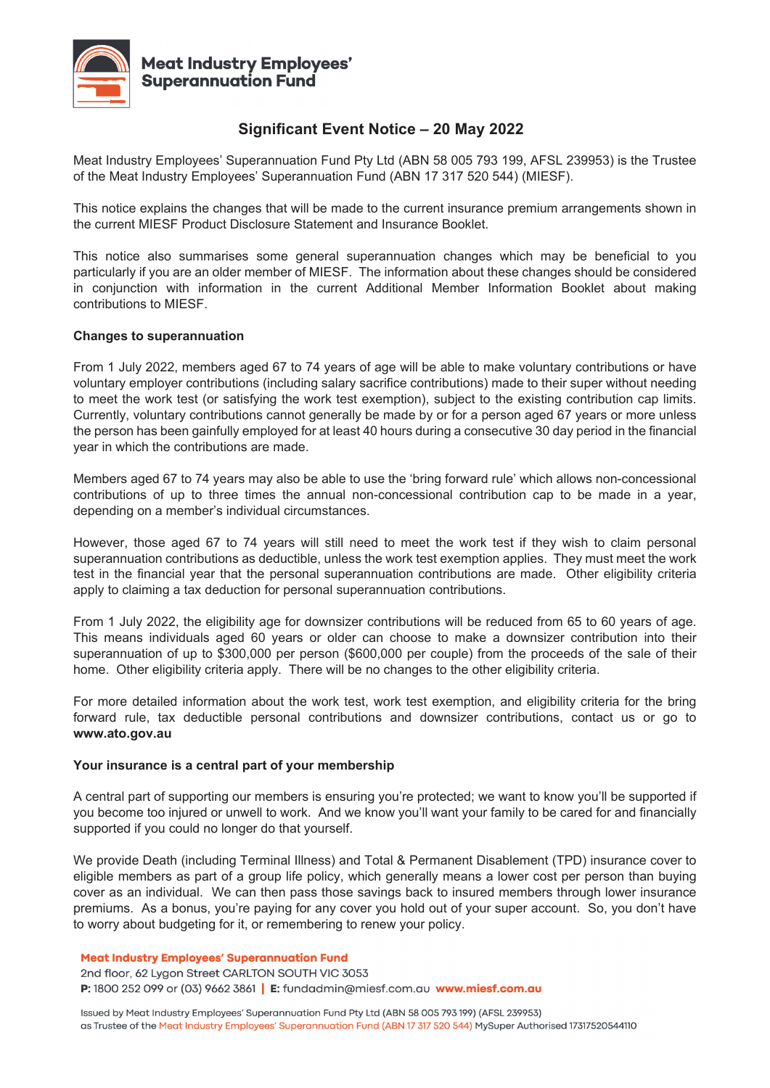

# **Significant Event Notice – 20 May 2022**

Meat Industry Employees' Superannuation Fund Pty Ltd (ABN 58 005 793 199, AFSL 239953) is the Trustee of the Meat Industry Employees' Superannuation Fund (ABN 17 317 520 544) (MIESF).

This notice explains the changes that will be made to the current insurance premium arrangements shown in the current MIESF Product Disclosure Statement and Insurance Booklet.

This notice also summarises some general superannuation changes which may be beneficial to you particularly if you are an older member of MIESF. The information about these changes should be considered in conjunction with information in the current Additional Member Information Booklet about making contributions to MIESF.

# **Changes to superannuation**

From 1 July 2022, members aged 67 to 74 years of age will be able to make voluntary contributions or have voluntary employer contributions (including salary sacrifice contributions) made to their super without needing to meet the work test (or satisfying the work test exemption), subject to the existing contribution cap limits. Currently, voluntary contributions cannot generally be made by or for a person aged 67 years or more unless the person has been gainfully employed for at least 40 hours during a consecutive 30 day period in the financial year in which the contributions are made.

Members aged 67 to 74 years may also be able to use the 'bring forward rule' which allows non-concessional contributions of up to three times the annual non-concessional contribution cap to be made in a year, depending on a member's individual circumstances.

However, those aged 67 to 74 years will still need to meet the work test if they wish to claim personal superannuation contributions as deductible, unless the work test exemption applies. They must meet the work test in the financial year that the personal superannuation contributions are made. Other eligibility criteria apply to claiming a tax deduction for personal superannuation contributions.

From 1 July 2022, the eligibility age for downsizer contributions will be reduced from 65 to 60 years of age. This means individuals aged 60 years or older can choose to make a downsizer contribution into their superannuation of up to \$300,000 per person (\$600,000 per couple) from the proceeds of the sale of their home. Other eligibility criteria apply. There will be no changes to the other eligibility criteria.

For more detailed information about the work test, work test exemption, and eligibility criteria for the bring forward rule, tax deductible personal contributions and downsizer contributions, contact us or go to **www.ato.gov.au**

# **Your insurance is a central part of your membership**

A central part of supporting our members is ensuring you're protected; we want to know you'll be supported if you become too injured or unwell to work. And we know you'll want your family to be cared for and financially supported if you could no longer do that yourself.

We provide Death (including Terminal Illness) and Total & Permanent Disablement (TPD) insurance cover to eligible members as part of a group life policy, which generally means a lower cost per person than buying cover as an individual. We can then pass those savings back to insured members through lower insurance premiums. As a bonus, you're paying for any cover you hold out of your super account. So, you don't have to worry about budgeting for it, or remembering to renew your policy.

**Meat Industry Employees' Superannuation Fund** 

2nd floor, 62 Lygon Street CARLTON SOUTH VIC 3053 P: 1800 252 099 or (03) 9662 3861 | E: fundadmin@miesf.com.au www.miesf.com.au

Issued by Meat Industry Employees' Superannuation Fund Pty Ltd (ABN 58 005 793 199) (AFSL 239953) as Trustee of the Meat Industry Employees' Superannuation Fund (ABN 17 317 520 544) MySuper Authorised 17317520544110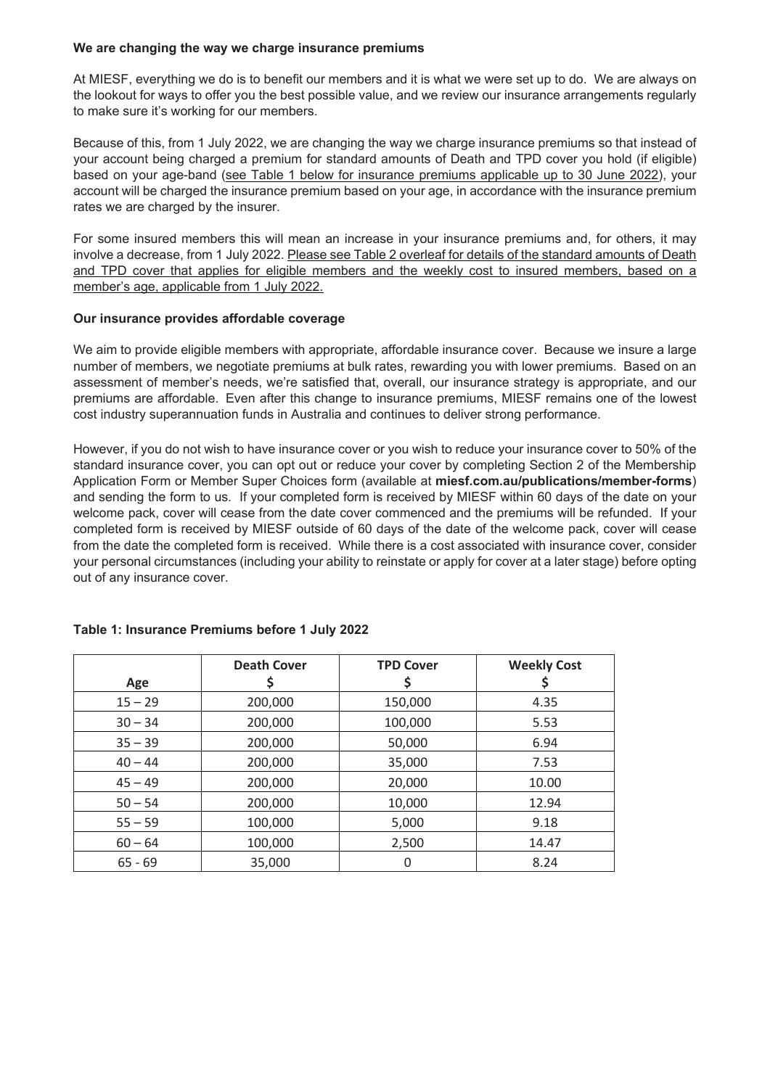### **We are changing the way we charge insurance premiums**

At MIESF, everything we do is to benefit our members and it is what we were set up to do. We are always on the lookout for ways to offer you the best possible value, and we review our insurance arrangements regularly to make sure it's working for our members.

Because of this, from 1 July 2022, we are changing the way we charge insurance premiums so that instead of your account being charged a premium for standard amounts of Death and TPD cover you hold (if eligible) based on your age-band (see Table 1 below for insurance premiums applicable up to 30 June 2022), your account will be charged the insurance premium based on your age, in accordance with the insurance premium rates we are charged by the insurer.

For some insured members this will mean an increase in your insurance premiums and, for others, it may involve a decrease, from 1 July 2022. Please see Table 2 overleaf for details of the standard amounts of Death and TPD cover that applies for eligible members and the weekly cost to insured members, based on a member's age, applicable from 1 July 2022.

# **Our insurance provides affordable coverage**

We aim to provide eligible members with appropriate, affordable insurance cover. Because we insure a large number of members, we negotiate premiums at bulk rates, rewarding you with lower premiums. Based on an assessment of member's needs, we're satisfied that, overall, our insurance strategy is appropriate, and our premiums are affordable. Even after this change to insurance premiums, MIESF remains one of the lowest cost industry superannuation funds in Australia and continues to deliver strong performance.

However, if you do not wish to have insurance cover or you wish to reduce your insurance cover to 50% of the standard insurance cover, you can opt out or reduce your cover by completing Section 2 of the Membership Application Form or Member Super Choices form (available at **miesf.com.au/publications/member-forms**) and sending the form to us. If your completed form is received by MIESF within 60 days of the date on your welcome pack, cover will cease from the date cover commenced and the premiums will be refunded. If your completed form is received by MIESF outside of 60 days of the date of the welcome pack, cover will cease from the date the completed form is received. While there is a cost associated with insurance cover, consider your personal circumstances (including your ability to reinstate or apply for cover at a later stage) before opting out of any insurance cover.

|           | <b>Death Cover</b> | <b>TPD Cover</b> | <b>Weekly Cost</b> |  |
|-----------|--------------------|------------------|--------------------|--|
| Age       |                    |                  |                    |  |
| $15 - 29$ | 200,000            | 150,000          | 4.35               |  |
| $30 - 34$ | 200,000            | 100,000          | 5.53               |  |
| $35 - 39$ | 200,000            | 50,000           | 6.94               |  |
| $40 - 44$ | 200,000            | 35,000           | 7.53               |  |
| $45 - 49$ | 200,000            | 20,000           | 10.00              |  |
| $50 - 54$ | 200,000            | 10,000           | 12.94              |  |
| $55 - 59$ | 100,000            | 5,000            | 9.18               |  |
| $60 - 64$ | 100,000            | 2,500            | 14.47              |  |
| $65 - 69$ | 35,000             | 0                | 8.24               |  |

# **Table 1: Insurance Premiums before 1 July 2022**